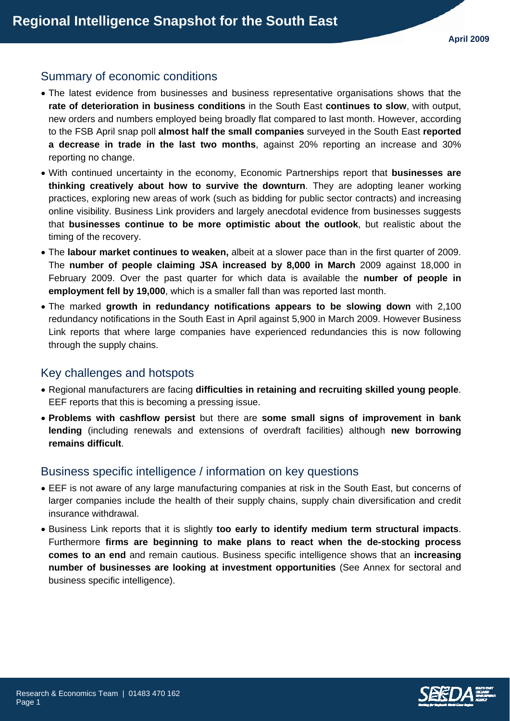# Summary of economic conditions

- The latest evidence from businesses and business representative organisations shows that the **rate of deterioration in business conditions** in the South East **continues to slow**, with output, new orders and numbers employed being broadly flat compared to last month. However, according to the FSB April snap poll **almost half the small companies** surveyed in the South East **reported a decrease in trade in the last two months**, against 20% reporting an increase and 30% reporting no change.
- With continued uncertainty in the economy, Economic Partnerships report that **businesses are thinking creatively about how to survive the downturn**. They are adopting leaner working practices, exploring new areas of work (such as bidding for public sector contracts) and increasing online visibility. Business Link providers and largely anecdotal evidence from businesses suggests that **businesses continue to be more optimistic about the outlook**, but realistic about the timing of the recovery.
- The **labour market continues to weaken,** albeit at a slower pace than in the first quarter of 2009. The **number of people claiming JSA increased by 8,000 in March** 2009 against 18,000 in February 2009. Over the past quarter for which data is available the **number of people in employment fell by 19,000**, which is a smaller fall than was reported last month.
- The marked **growth in redundancy notifications appears to be slowing down** with 2,100 redundancy notifications in the South East in April against 5,900 in March 2009. However Business Link reports that where large companies have experienced redundancies this is now following through the supply chains.

## Key challenges and hotspots

- Regional manufacturers are facing **difficulties in retaining and recruiting skilled young people**. EEF reports that this is becoming a pressing issue.
- **Problems with cashflow persist** but there are **some small signs of improvement in bank lending** (including renewals and extensions of overdraft facilities) although **new borrowing remains difficult**.

## Business specific intelligence / information on key questions

- EEF is not aware of any large manufacturing companies at risk in the South East, but concerns of larger companies include the health of their supply chains, supply chain diversification and credit insurance withdrawal.
- Business Link reports that it is slightly **too early to identify medium term structural impacts**. Furthermore **firms are beginning to make plans to react when the de-stocking process comes to an end** and remain cautious. Business specific intelligence shows that an **increasing number of businesses are looking at investment opportunities** (See Annex for sectoral and business specific intelligence).

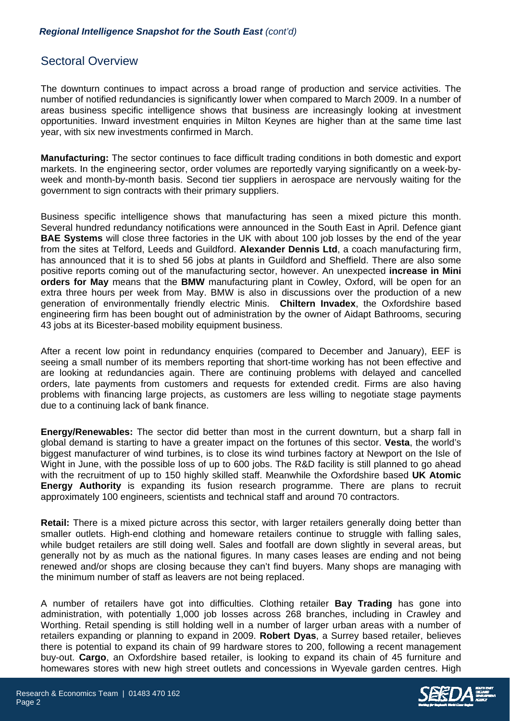## Sectoral Overview

The downturn continues to impact across a broad range of production and service activities. The number of notified redundancies is significantly lower when compared to March 2009. In a number of areas business specific intelligence shows that business are increasingly looking at investment opportunities. Inward investment enquiries in Milton Keynes are higher than at the same time last year, with six new investments confirmed in March.

**Manufacturing:** The sector continues to face difficult trading conditions in both domestic and export markets. In the engineering sector, order volumes are reportedly varying significantly on a week-byweek and month-by-month basis. Second tier suppliers in aerospace are nervously waiting for the government to sign contracts with their primary suppliers.

Business specific intelligence shows that manufacturing has seen a mixed picture this month. Several hundred redundancy notifications were announced in the South East in April. Defence giant **BAE Systems** will close three factories in the UK with about 100 job losses by the end of the year from the sites at Telford, Leeds and Guildford. **Alexander Dennis Ltd**, a coach manufacturing firm, has announced that it is to shed 56 jobs at plants in Guildford and Sheffield. There are also some positive reports coming out of the manufacturing sector, however. An unexpected **increase in Mini orders for May** means that the **BMW** manufacturing plant in Cowley, Oxford, will be open for an extra three hours per week from May. BMW is also in discussions over the production of a new generation of environmentally friendly electric Minis. **Chiltern Invadex**, the Oxfordshire based engineering firm has been bought out of administration by the owner of Aidapt Bathrooms, securing 43 jobs at its Bicester-based mobility equipment business.

After a recent low point in redundancy enquiries (compared to December and January), EEF is seeing a small number of its members reporting that short-time working has not been effective and are looking at redundancies again. There are continuing problems with delayed and cancelled orders, late payments from customers and requests for extended credit. Firms are also having problems with financing large projects, as customers are less willing to negotiate stage payments due to a continuing lack of bank finance.

**Energy/Renewables:** The sector did better than most in the current downturn, but a sharp fall in global demand is starting to have a greater impact on the fortunes of this sector. **Vesta**, the world's biggest manufacturer of wind turbines, is to close its wind turbines factory at Newport on the Isle of Wight in June, with the possible loss of up to 600 jobs. The R&D facility is still planned to go ahead with the recruitment of up to 150 highly skilled staff. Meanwhile the Oxfordshire based **UK Atomic Energy Authority** is expanding its fusion research programme. There are plans to recruit approximately 100 engineers, scientists and technical staff and around 70 contractors.

**Retail:** There is a mixed picture across this sector, with larger retailers generally doing better than smaller outlets. High-end clothing and homeware retailers continue to struggle with falling sales, while budget retailers are still doing well. Sales and footfall are down slightly in several areas, but generally not by as much as the national figures. In many cases leases are ending and not being renewed and/or shops are closing because they can't find buyers. Many shops are managing with the minimum number of staff as leavers are not being replaced.

A number of retailers have got into difficulties. Clothing retailer **Bay Trading** has gone into administration, with potentially 1,000 job losses across 268 branches, including in Crawley and Worthing. Retail spending is still holding well in a number of larger urban areas with a number of retailers expanding or planning to expand in 2009. **Robert Dyas**, a Surrey based retailer, believes there is potential to expand its chain of 99 hardware stores to 200, following a recent management buy-out. **Cargo**, an Oxfordshire based retailer, is looking to expand its chain of 45 furniture and homewares stores with new high street outlets and concessions in Wyevale garden centres. High

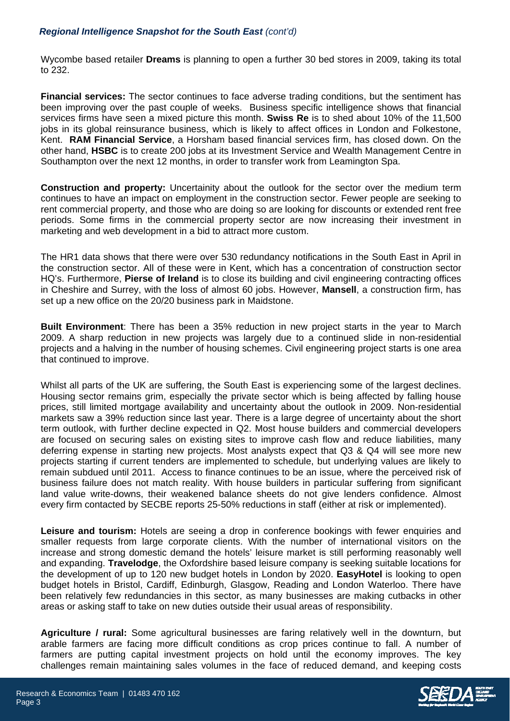Wycombe based retailer **Dreams** is planning to open a further 30 bed stores in 2009, taking its total to 232.

**Financial services:** The sector continues to face adverse trading conditions, but the sentiment has been improving over the past couple of weeks. Business specific intelligence shows that financial services firms have seen a mixed picture this month. **Swiss Re** is to shed about 10% of the 11,500 jobs in its global reinsurance business, which is likely to affect offices in London and Folkestone, Kent. **RAM Financial Service**, a Horsham based financial services firm, has closed down. On the other hand, **HSBC** is to create 200 jobs at its Investment Service and Wealth Management Centre in Southampton over the next 12 months, in order to transfer work from Leamington Spa.

**Construction and property:** Uncertainity about the outlook for the sector over the medium term continues to have an impact on employment in the construction sector. Fewer people are seeking to rent commercial property, and those who are doing so are looking for discounts or extended rent free periods. Some firms in the commercial property sector are now increasing their investment in marketing and web development in a bid to attract more custom.

The HR1 data shows that there were over 530 redundancy notifications in the South East in April in the construction sector. All of these were in Kent, which has a concentration of construction sector HQ's. Furthermore, **Pierse of Ireland** is to close its building and civil engineering contracting offices in Cheshire and Surrey, with the loss of almost 60 jobs. However, **Mansell**, a construction firm, has set up a new office on the 20/20 business park in Maidstone.

**Built Environment**: There has been a 35% reduction in new project starts in the year to March 2009. A sharp reduction in new projects was largely due to a continued slide in non-residential projects and a halving in the number of housing schemes. Civil engineering project starts is one area that continued to improve.

Whilst all parts of the UK are suffering, the South East is experiencing some of the largest declines. Housing sector remains grim, especially the private sector which is being affected by falling house prices, still limited mortgage availability and uncertainty about the outlook in 2009. Non-residential markets saw a 39% reduction since last year. There is a large degree of uncertainty about the short term outlook, with further decline expected in Q2. Most house builders and commercial developers are focused on securing sales on existing sites to improve cash flow and reduce liabilities, many deferring expense in starting new projects. Most analysts expect that Q3 & Q4 will see more new projects starting if current tenders are implemented to schedule, but underlying values are likely to remain subdued until 2011. Access to finance continues to be an issue, where the perceived risk of business failure does not match reality. With house builders in particular suffering from significant land value write-downs, their weakened balance sheets do not give lenders confidence. Almost every firm contacted by SECBE reports 25-50% reductions in staff (either at risk or implemented).

**Leisure and tourism:** Hotels are seeing a drop in conference bookings with fewer enquiries and smaller requests from large corporate clients. With the number of international visitors on the increase and strong domestic demand the hotels' leisure market is still performing reasonably well and expanding. **Travelodge**, the Oxfordshire based leisure company is seeking suitable locations for the development of up to 120 new budget hotels in London by 2020. **EasyHotel** is looking to open budget hotels in Bristol, Cardiff, Edinburgh, Glasgow, Reading and London Waterloo. There have been relatively few redundancies in this sector, as many businesses are making cutbacks in other areas or asking staff to take on new duties outside their usual areas of responsibility.

**Agriculture / rural:** Some agricultural businesses are faring relatively well in the downturn, but arable farmers are facing more difficult conditions as crop prices continue to fall. A number of farmers are putting capital investment projects on hold until the economy improves. The key challenges remain maintaining sales volumes in the face of reduced demand, and keeping costs

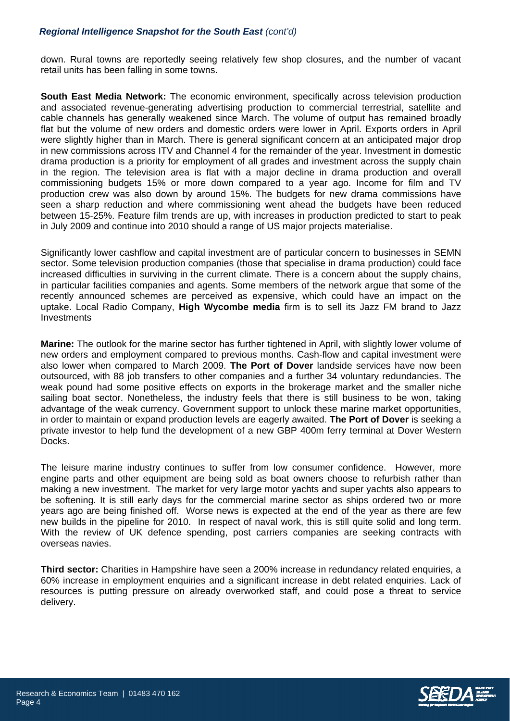down. Rural towns are reportedly seeing relatively few shop closures, and the number of vacant retail units has been falling in some towns.

**South East Media Network:** The economic environment, specifically across television production and associated revenue-generating advertising production to commercial terrestrial, satellite and cable channels has generally weakened since March. The volume of output has remained broadly flat but the volume of new orders and domestic orders were lower in April. Exports orders in April were slightly higher than in March. There is general significant concern at an anticipated major drop in new commissions across ITV and Channel 4 for the remainder of the year. Investment in domestic drama production is a priority for employment of all grades and investment across the supply chain in the region. The television area is flat with a major decline in drama production and overall commissioning budgets 15% or more down compared to a year ago. Income for film and TV production crew was also down by around 15%. The budgets for new drama commissions have seen a sharp reduction and where commissioning went ahead the budgets have been reduced between 15-25%. Feature film trends are up, with increases in production predicted to start to peak in July 2009 and continue into 2010 should a range of US major projects materialise.

Significantly lower cashflow and capital investment are of particular concern to businesses in SEMN sector. Some television production companies (those that specialise in drama production) could face increased difficulties in surviving in the current climate. There is a concern about the supply chains, in particular facilities companies and agents. Some members of the network argue that some of the recently announced schemes are perceived as expensive, which could have an impact on the uptake. Local Radio Company, **High Wycombe media** firm is to sell its Jazz FM brand to Jazz **Investments** 

**Marine:** The outlook for the marine sector has further tightened in April, with slightly lower volume of new orders and employment compared to previous months. Cash-flow and capital investment were also lower when compared to March 2009. **The Port of Dover** landside services have now been outsourced, with 88 job transfers to other companies and a further 34 voluntary redundancies. The weak pound had some positive effects on exports in the brokerage market and the smaller niche sailing boat sector. Nonetheless, the industry feels that there is still business to be won, taking advantage of the weak currency. Government support to unlock these marine market opportunities, in order to maintain or expand production levels are eagerly awaited. **The Port of Dover** is seeking a private investor to help fund the development of a new GBP 400m ferry terminal at Dover Western Docks.

The leisure marine industry continues to suffer from low consumer confidence. However, more engine parts and other equipment are being sold as boat owners choose to refurbish rather than making a new investment. The market for very large motor yachts and super yachts also appears to be softening. It is still early days for the commercial marine sector as ships ordered two or more years ago are being finished off. Worse news is expected at the end of the year as there are few new builds in the pipeline for 2010. In respect of naval work, this is still quite solid and long term. With the review of UK defence spending, post carriers companies are seeking contracts with overseas navies.

**Third sector:** Charities in Hampshire have seen a 200% increase in redundancy related enquiries, a 60% increase in employment enquiries and a significant increase in debt related enquiries. Lack of resources is putting pressure on already overworked staff, and could pose a threat to service delivery.